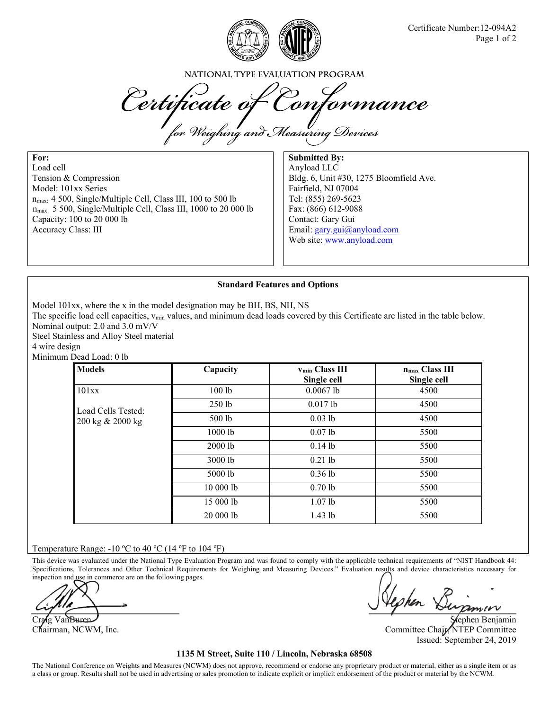

NATIONAL TYPE EVALUATION PROGRAM

Certificate of Conformance

**For:**  Load cell Tension & Compression Model: 101xx Series  $n_{\text{max}}$ : 4 500, Single/Multiple Cell, Class III, 100 to 500 lb nmax: 5 500, Single/Multiple Cell, Class III, 1000 to 20 000 lb Capacity: 100 to 20 000 lb Accuracy Class: III

**Submitted By:**  Anyload LLC Bldg. 6, Unit #30, 1275 Bloomfield Ave. Fairfield, NJ 07004 Tel: (855) 269-5623 Fax: (866) 612-9088 Contact: Gary Gui Email: gary.gui@anyload.com Web site: www.anyload.com

## **Standard Features and Options**

Model 101xx, where the x in the model designation may be BH, BS, NH, NS

The specific load cell capacities,  $v_{min}$  values, and minimum dead loads covered by this Certificate are listed in the table below. Nominal output: 2.0 and 3.0 mV/V

Steel Stainless and Alloy Steel material

4 wire design

Minimum Dead Load: 0 lb

| <b>Models</b>                          | Capacity          | <b>Vmin Class III</b><br>Single cell | n <sub>max</sub> Class III<br>Single cell |
|----------------------------------------|-------------------|--------------------------------------|-------------------------------------------|
| 101xx                                  | 100 <sub>1b</sub> | $0.0067$ lb                          | 4500                                      |
| Load Cells Tested:<br>200 kg & 2000 kg | $250$ lb          | $0.017$ lb                           | 4500                                      |
|                                        | 500 lb            | $0.03$ lb                            | 4500                                      |
|                                        | $1000$ lb         | $0.07$ lb                            | 5500                                      |
|                                        | 2000 lb           | $0.14$ lb                            | 5500                                      |
|                                        | 3000 lb           | $0.21$ lb                            | 5500                                      |
|                                        | 5000 lb           | $0.36$ lb                            | 5500                                      |
|                                        | 10 000 lb         | $0.70$ lb                            | 5500                                      |
|                                        | 15 000 lb         | $1.07$ lb                            | 5500                                      |
|                                        | 20 000 lb         | $1.43$ lb                            | 5500                                      |

## Temperature Range:  $-10$  °C to 40 °C (14 °F to 104 °F)

This device was evaluated under the National Type Evaluation Program and was found to comply with the applicable technical requirements of "NIST Handbook 44: Specifications, Tolerances and Other Technical Requirements for Weighing and Measuring Devices." Evaluation results and device characteristics necessary for inspection and use in commerce are on the following pages.

Craig Van Buren Stephen Benjamin Chairman, NCWM, Inc. Committee Chair, NTEP Committee Chair, NTEP Committee Issued: September 24, 2019

## **1135 M Street, Suite 110 / Lincoln, Nebraska 68508**

The National Conference on Weights and Measures (NCWM) does not approve, recommend or endorse any proprietary product or material, either as a single item or as a class or group. Results shall not be used in advertising or sales promotion to indicate explicit or implicit endorsement of the product or material by the NCWM.